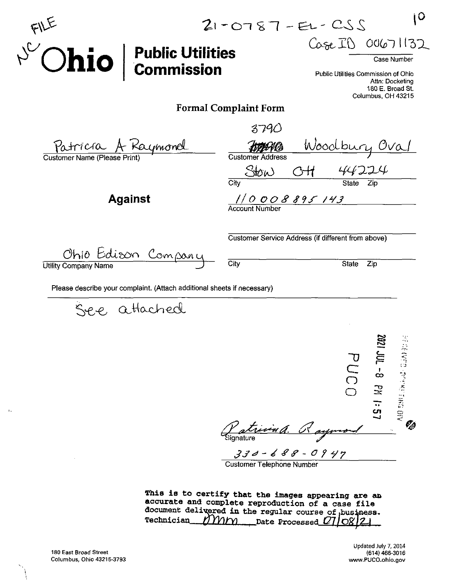| $O$ hio $ $ Public Utilities                                            | $\mathbf 0$<br>$21 - 0787 - E1 - CSS$<br>Case ID 00671132<br>Case Number<br>Public Utilities Commission of Ohio<br>Attn: Docketing<br>180 E. Broad St. |
|-------------------------------------------------------------------------|--------------------------------------------------------------------------------------------------------------------------------------------------------|
|                                                                         | Columbus, OH 43215<br><b>Formal Complaint Form</b>                                                                                                     |
|                                                                         | 3790                                                                                                                                                   |
| Patricia A Raymond<br>Customer Name (Please Print)                      | Woodbury Oval<br><b>Customer Address</b><br>Stow<br>44224<br>$\overline{C}$ ity<br>State Zip                                                           |
| <b>Against</b>                                                          | $\frac{1}{0}$ O O O 8 8 9 5 1 4 3                                                                                                                      |
|                                                                         | Customer Service Address (if different from above)                                                                                                     |
| Ohio Edison Companu                                                     | City<br><b>State</b><br>Zip                                                                                                                            |
| Please describe your complaint. (Attach additional sheets if necessary) |                                                                                                                                                        |
| e, attached                                                             | ∾<br>$100 - 9$ PM<br><b>WITHWARD</b><br>PUCO                                                                                                           |

s *signature ^*  $\mathcal{C}_{\!\!\mathit{A}}$  $330 - 688 - 0947$ 

Customer Telephone Number

This is to certify that the images appearing are an accurate and complete reproduction of a case file document delivered in the regular course of business. Technician\_ $M$  $M$  $M$  Date Processed

 $\Lambda_{\rm s}$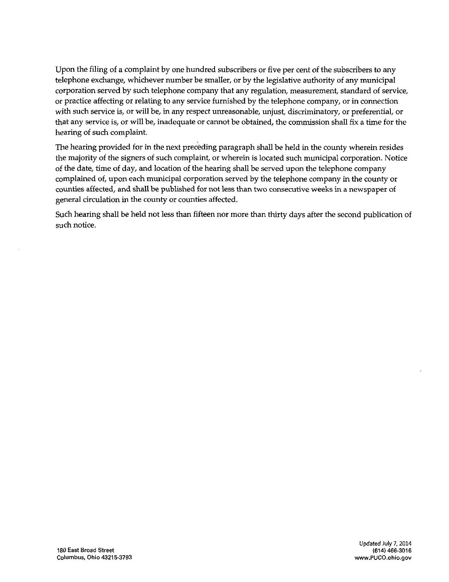Upon the filing of a complaint by one hundred subscribers or five per cent of the subscribers to any telephone exchange, whichever number be smaller, or by the legislative authority of any municipal corporation served by such telephone company that any regulation, measurement, standard of service, or practice affecting or relating to any service furnished by the telephone company, or in connection with such service is, or will be, in any respect unreasonable, unjust, discriminatory, or preferential, or that any service is, or will be, inadequate or cannot be obtained, the commission shall fix a time for the hearing of such complaint.

The hearing provided for in the next preceding paragraph shall be held in the county wherein resides the majority of the signers of such complaint, or wherein is located such municipal corporation. Notice of the date, time of day, and location of the hearing shall be served upon the telephone company complained of, upon each municipal corporation served by the telephone company in the county or counties affected, and shall be published for not less than two consecutive weeks in a newspaper of general circulation in the county or counties affected.

Such hearing shall be held not less than fifteen nor more than thirty days after the second publication of such notice.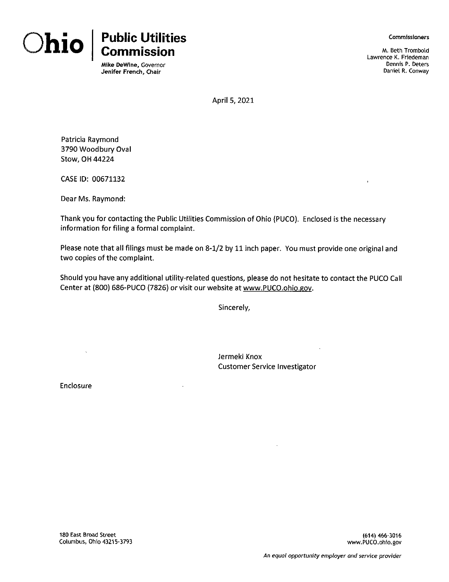



Mike DeWine, Governor Jenifer French, Chair

Commissioners

M. Beth Trombold Lawrence K. Friedeman Dennis P. Deters Daniel R. Conway

April 5, 2021

Patricia Raymond 3790 Woodbury Oval Stow, OH 44224

CASE ID: 00671132

Dear Ms. Raymond:

Thank you for contacting the Public Utilities Commission of Ohio (PUCO). Enclosed is the necessary information for filing a formal complaint.

Please note that all filings must be made on 8-1/2 by 11 inch paper. You must provide one original and two copies of the complaint.

Should you have any additional utility-related questions, please do not hesitate to contact the PUCO Call Center at (800) 686-PUCO (7826) or visit our website at www.PUCO.ohio.gov.

Sincerely,

Jermeki Knox Customer Service Investigator

Enclosure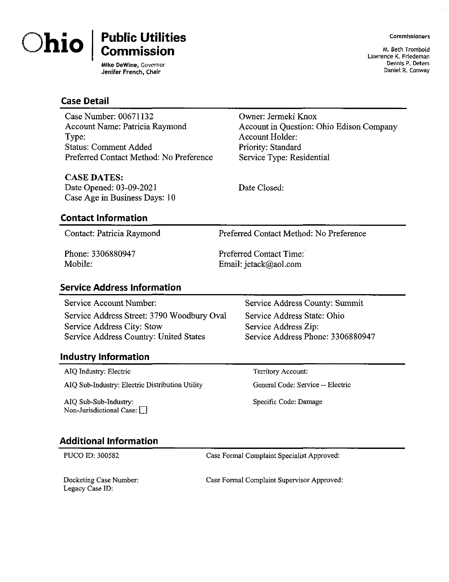

# **hio Public Utilities Commission**

**Mike DeWine, Governor Jenifer French, Chair**

Commissioners

M. Beth Trombold Lawrence K. Friedeman<br>Dennis P. Deters Dennis P. Deters Daniel R. Conway

#### **Case Detail**

Case Number: 00671132 Account Name: Patricia Raymond Type: Status: Comment Added Preferred Contact Method: No Preference

#### CASE DATES:

Date Opened: 03-09-2021 Case Age in Business Days: 10

## **Contact Information**

Contact: Patricia Raymond Preferred Contact Method: No Preference

Phone: 3306880947 Mobile:

Preferred Contact Time: Email: jetack@aol.com

#### **Service Address Information**

Service Address Street: 3790 Woodbury Oval Service Address State: Ohio Service Address City: Stow Service Address Zip:<br>Service Address Country: United States Service Address Phone: 3306880947 Service Address Country: United States

## **Industry Information**

AIQ Industry: Electric

AIQ Sub-Industry: Electric Distribution Utility

AIQ Sub-Sub-Industry: Non-Jurisdictional Case:  $\Box$ 

Service Account Number: Service Address County: Summit

Territory Account:

General Code: Service — Electric

Specific Code: Damage

## **Additional Information**

PUCO ID: 300582 Case Formal Complaint Specialist Approved:

Docketing Case Number: Legacy Case ID;

Case Formal Complaint Supervisor Approved:

Date Closed:

Owner: Jermeki Knox

Account Holder:

Priority: Standard Service Type: Residential

Account in Question: Ohio Edison Company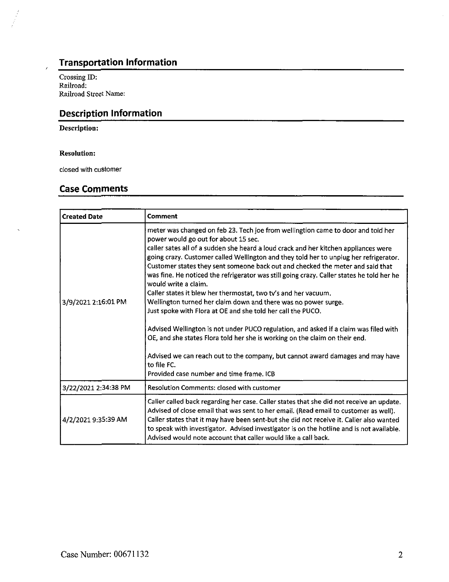## Transportation Information

Crossing ID: Railroad: Railroad Street Name:

## Description Information

#### Description:

#### Resolution:

closed with customer

#### Case Comments

| <b>Created Date</b>  | Comment                                                                                                                                                                                                                                                                                                                                                                                                                                                                                                                                                                                                                                                                                                                                                                                                                                                                                                                                                                                                                                |
|----------------------|----------------------------------------------------------------------------------------------------------------------------------------------------------------------------------------------------------------------------------------------------------------------------------------------------------------------------------------------------------------------------------------------------------------------------------------------------------------------------------------------------------------------------------------------------------------------------------------------------------------------------------------------------------------------------------------------------------------------------------------------------------------------------------------------------------------------------------------------------------------------------------------------------------------------------------------------------------------------------------------------------------------------------------------|
| 3/9/2021 2:16:01 PM  | meter was changed on feb 23. Tech joe from wellingtion came to door and told her<br>power would go out for about 15 sec.<br>caller sates all of a sudden she heard a loud crack and her kitchen appliances were<br>going crazy. Customer called Wellington and they told her to unplug her refrigerator.<br>Customer states they sent someone back out and checked the meter and said that<br>was fine. He noticed the refrigerator was still going crazy. Caller states he told her he<br>would write a claim.<br>Caller states it blew her thermostat, two tv's and her vacuum.<br>Wellington turned her claim down and there was no power surge.<br>Just spoke with Flora at OE and she told her call the PUCO.<br>Advised Wellington is not under PUCO regulation, and asked if a claim was filed with<br>OE, and she states Flora told her she is working on the claim on their end.<br>Advised we can reach out to the company, but cannot award damages and may have<br>to file FC.<br>Provided case number and time frame. ICB |
| 3/22/2021 2:34:38 PM | <b>Resolution Comments: closed with customer</b>                                                                                                                                                                                                                                                                                                                                                                                                                                                                                                                                                                                                                                                                                                                                                                                                                                                                                                                                                                                       |
| 4/2/2021 9:35:39 AM  | Caller called back regarding her case. Caller states that she did not receive an update.<br>Advised of close email that was sent to her email. (Read email to customer as well).<br>Caller states that it may have been sent-but she did not receive it. Caller also wanted<br>to speak with investigator. Advised investigator is on the hotline and is not available.<br>Advised would note account that caller would like a call back.                                                                                                                                                                                                                                                                                                                                                                                                                                                                                                                                                                                              |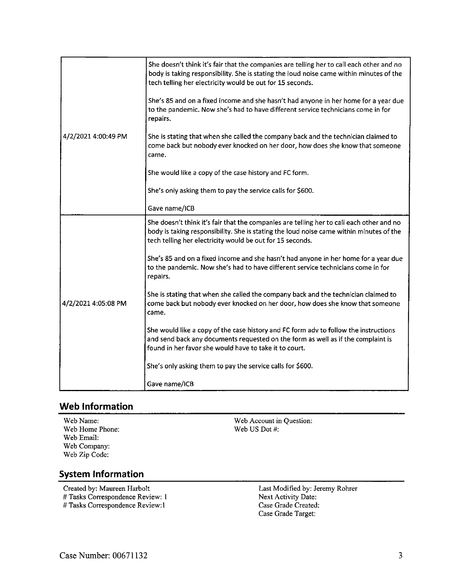| 4/2/2021 4:00:49 PM | She doesn't think it's fair that the companies are telling her to call each other and no<br>body is taking responsibility. She is stating the loud noise came within minutes of the<br>tech telling her electricity would be out for 15 seconds. |
|---------------------|--------------------------------------------------------------------------------------------------------------------------------------------------------------------------------------------------------------------------------------------------|
|                     | She's 85 and on a fixed income and she hasn't had anyone in her home for a year due<br>to the pandemic. Now she's had to have different service technicians come in for<br>repairs.                                                              |
|                     | She is stating that when she called the company back and the technician claimed to<br>come back but nobody ever knocked on her door, how does she know that someone<br>came.                                                                     |
|                     | She would like a copy of the case history and FC form.                                                                                                                                                                                           |
|                     | She's only asking them to pay the service calls for \$600.                                                                                                                                                                                       |
|                     | Gave name/ICB                                                                                                                                                                                                                                    |
| 4/2/2021 4:05:08 PM | She doesn't think it's fair that the companies are telling her to call each other and no<br>body is taking responsibility. She is stating the loud noise came within minutes of the<br>tech telling her electricity would be out for 15 seconds. |
|                     | She's 85 and on a fixed income and she hasn't had anyone in her home for a year due<br>to the pandemic. Now she's had to have different service technicians come in for<br>repairs.                                                              |
|                     | She is stating that when she called the company back and the technician claimed to<br>come back but nobody ever knocked on her door, how does she know that someone<br>came.                                                                     |
|                     | She would like a copy of the case history and FC form adv to follow the instructions<br>and send back any documents requested on the form as well as if the complaint is<br>found in her favor she would have to take it to court.               |
|                     | She's only asking them to pay the service calls for \$600.                                                                                                                                                                                       |
|                     | Gave name/ICB                                                                                                                                                                                                                                    |

## **Web Information**

Web Name: Web Home Phone: Web Email: Web Company: Web Zip Code:

Web Account in Question: Web US Dot #:

## **System Information**

Created by: Maureen Harbolt # Tasks Correspondence Review: <sup>1</sup> # Tasks Correspondence Review:1

Last Modified by: Jeremy Rohrer Next Activity Date: Case Grade Created: Case Grade Target: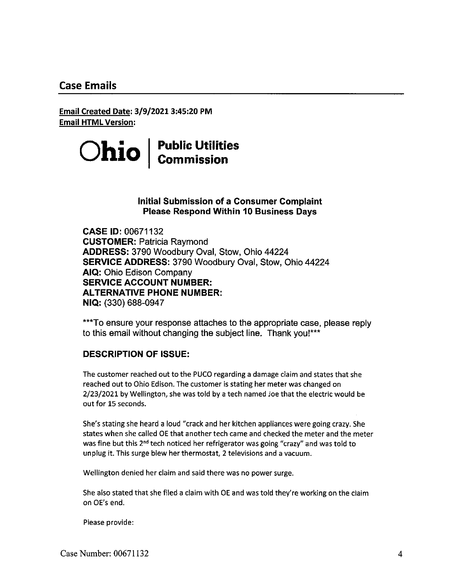## **Case Emails**

**Email Created Date: 3/9/2021 3:45:20 PM Email HTML Version:**

> **Ohio Public Utilities Commission**

#### **Initial Submission of a Consumer Complaint Please Respond Within 10 Business Days**

**CASE 10:00671132** CUSTOMER: Patricia Raymond ADDRESS: 3790 Woodbury Oval, Stow, Ohio 44224 SERVICE ADDRESS: 3790 Woodbury Oval, Stow, Ohio 44224 AIQ: Ohio Edison Company **SERVICE ACCOUNT NUMBER: ALTERNATIVE PHONE NUMBER:** NIQ: (330) 688-0947

\*\*\*To ensure your response attaches to the appropriate case, please reply to this email without changing the subject line. Thank you!\*\*\*

#### **DESCRIPTION OF ISSUE:**

The customer reached out to the PUCO regarding a damage claim and states that she reached out to Ohio Edison. The customer is stating her meter was changed on 2/23/2021 by Wellington, she was told by a tech named Joe that the electric would be out for 15 seconds.

She's stating she heard a loud "crack and her kitchen appliances were going crazy. She states when she called OE that another tech came and checked the meter and the meter was fine but this 2<sup>nd</sup> tech noticed her refrigerator was going "crazy" and was told to unplug it. This surge blew her thermostat, 2 televisions and a vacuum.

Wellington denied her claim and said there was no power surge.

She also stated that she filed a claim with OE and was told they're working on the claim on OE's end.

Please provide: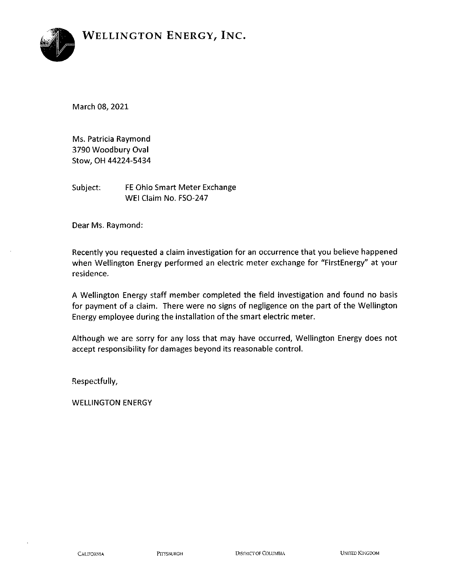

March 08, 2021

Ms. Patricia Raymond 3790 Woodbury Oval Stow, OH 44224-5434

Subject; FE Ohio Smart Meter Exchange WEI Claim No. FSO-247

Dear Ms. Raymond:

Recently you requested <sup>a</sup> claim investigation for an occurrence that you believe happened when Wellington Energy performed an electric meter exchange for "FirstEnergy" at your residence.

A Wellington Energy staff member completed the field investigation and found no basis for payment of <sup>a</sup> claim. There were no signs of negligence on the part of the Wellington Energy employee during the installation of the smart electric meter.

Although we are sorry for any loss that may have occurred, Wellington Energy does not accept responsibility for damages beyond its reasonable control.

Respectfully,

WELLINGTON ENERGY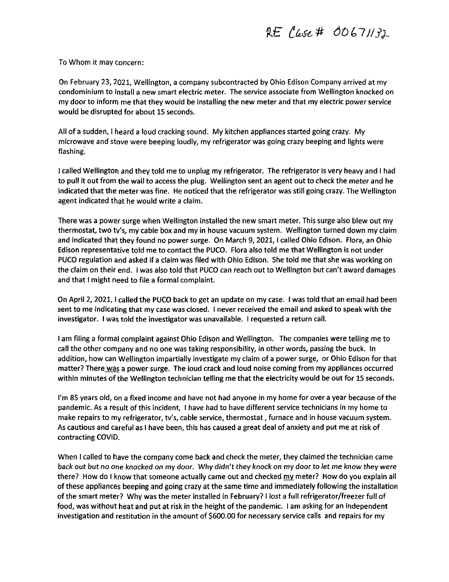# *to# dOLD/S^*

To Whom it may concern:

On February 23, 2021, Wellington, a company subcontracted by Ohio Edison Company arrived at my condominium to install a new smart electric meter. The service associate from Wellington knocked on my door to inform me that they would be installing the new meter and that my electric power service would be disrupted for about 15 seconds.

All of a sudden, <sup>I</sup> heard a loud cracking sound. My kitchen appliances started going crazy. My microwave and stove were beeping loudly, my refrigerator was going crazy beeping and lights were flashing.

<sup>1</sup> called Wellington and they told me to unplug my refrigerator. The refrigerator is very heavy and <sup>I</sup> had to pull it out from the wall to access the plug. Wellington sent an agent out to check the meter and he indicated that the meter was fine. He noticed that the refrigerator was still going crazy. The Wellington agent indicated that he would write <sup>a</sup> claim.

There was a power surge when Wellington installed the new smart meter. This surge also blew out my thermostat, two ty's, my cable box and my in house vacuum system. Wellington turned down my claim and indicated that they found no power surge. On March 9, 2021, I called Ohio Edison. Flora, an Ohio Edison representative told me to contact the PUCO. Flora also told me that Wellington is not under PUCO regulation and asked if <sup>a</sup> claim was filed with Ohio Edison. She told me that she was working on the claim on their end. <sup>I</sup> was also told that PUCO can reach out to Wellington but can't award damages and that <sup>I</sup> might need to file a formal complaint.

On April 2, 2021, I called the PUCO back to get an update on my case. I was told that an email had been sent to me indicating that my case was closed. <sup>I</sup> never received the email and asked to speak with the investigator. I was told the investigator was unavailable. <sup>I</sup> requested a return call.

<sup>I</sup> am filing a formal complaint against Ohio Edison and Wellington. The companies weretelling me to call the other company and no one was taking responsibility, in other words, passing the buck. In addition, how can Wellington impartially investigate my claim of a power surge, or Ohio Edison for that matter? There was a power surge. The loud crack and loud noise coming from my appliances occurred within minutes of the Wellington technician telling me that the electricity would be out for 15 seconds.

I'm 85 years old, on a fixed income and have not had anyone in my home for over a year because of the pandemic. As a result ofthis incident, <sup>I</sup> have had to have different service technicians in my home to make repairs to my refrigerator, tv's, cable service, thermostat, furnace and in house vacuum system. As cautious and careful as <sup>I</sup> have been, this has caused a great deal of anxiety and put me at risk of contracting COVID,

When <sup>I</sup> called to have the company come back and check the meter, they claimed the technician came back out but no one knocked on my door. Why didn't they knock on my door to let me know they were there? How do I know that someone actually came out and checked my meter? How do you explain all of these appliances beeping and going crazy at the same time and immediately following the installation ofthe smart meter? Why was the meter installed in February? <sup>I</sup> lost a full refrigerator/freezer full of food, was without heat and put at risk in the height of the pandemic. I am asking for an independent investigation and restitution in the amount of \$600.00 for necessary service calls and repairs for my